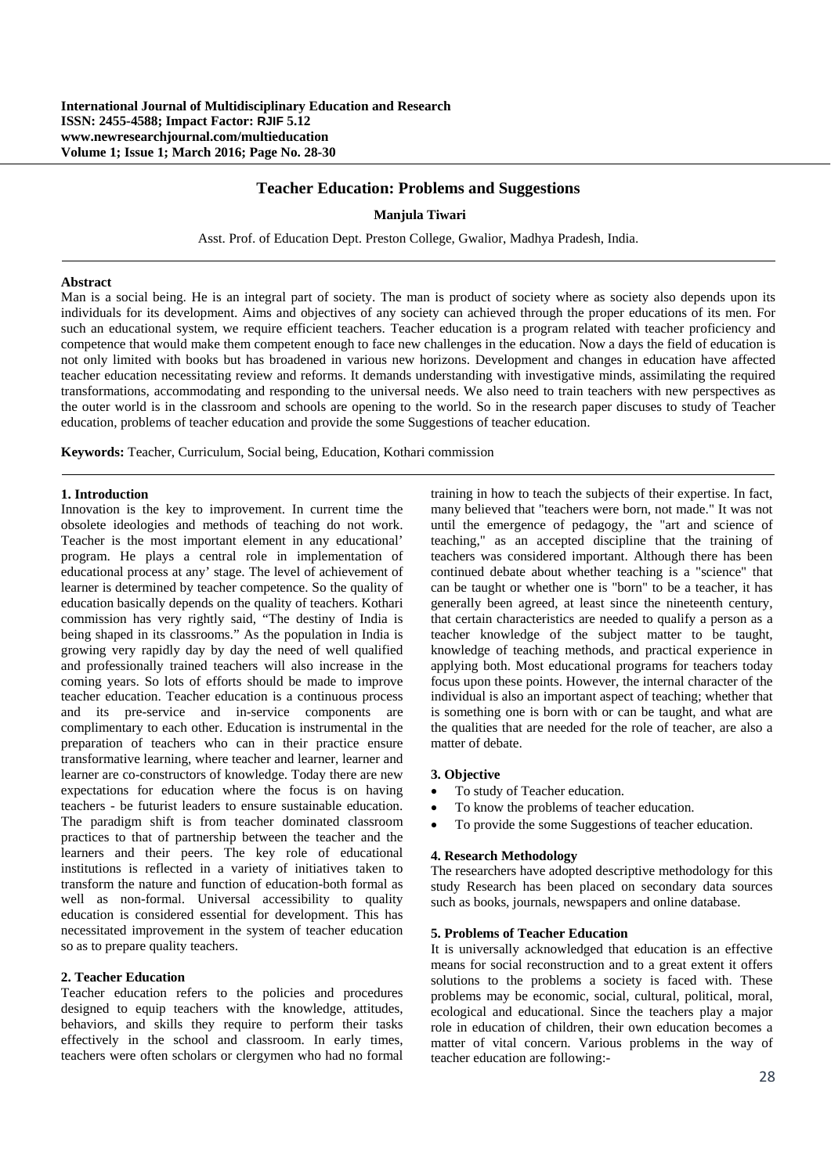## **Teacher Education: Problems and Suggestions**

### **Manjula Tiwari**

Asst. Prof. of Education Dept. Preston College, Gwalior, Madhya Pradesh, India.

### **Abstract**

Man is a social being. He is an integral part of society. The man is product of society where as society also depends upon its individuals for its development. Aims and objectives of any society can achieved through the proper educations of its men. For such an educational system, we require efficient teachers. Teacher education is a program related with teacher proficiency and competence that would make them competent enough to face new challenges in the education. Now a days the field of education is not only limited with books but has broadened in various new horizons. Development and changes in education have affected teacher education necessitating review and reforms. It demands understanding with investigative minds, assimilating the required transformations, accommodating and responding to the universal needs. We also need to train teachers with new perspectives as the outer world is in the classroom and schools are opening to the world. So in the research paper discuses to study of Teacher education, problems of teacher education and provide the some Suggestions of teacher education.

**Keywords:** Teacher, Curriculum, Social being, Education, Kothari commission

## **1. Introduction**

Innovation is the key to improvement. In current time the obsolete ideologies and methods of teaching do not work. Teacher is the most important element in any educational' program. He plays a central role in implementation of educational process at any' stage. The level of achievement of learner is determined by teacher competence. So the quality of education basically depends on the quality of teachers. Kothari commission has very rightly said, "The destiny of India is being shaped in its classrooms." As the population in India is growing very rapidly day by day the need of well qualified and professionally trained teachers will also increase in the coming years. So lots of efforts should be made to improve teacher education. Teacher education is a continuous process and its pre-service and in-service components are complimentary to each other. Education is instrumental in the preparation of teachers who can in their practice ensure transformative learning, where teacher and learner, learner and learner are co-constructors of knowledge. Today there are new expectations for education where the focus is on having teachers - be futurist leaders to ensure sustainable education. The paradigm shift is from teacher dominated classroom practices to that of partnership between the teacher and the learners and their peers. The key role of educational institutions is reflected in a variety of initiatives taken to transform the nature and function of education-both formal as well as non-formal. Universal accessibility to quality education is considered essential for development. This has necessitated improvement in the system of teacher education so as to prepare quality teachers.

## **2. Teacher Education**

Teacher education refers to the policies and procedures designed to equip teachers with the knowledge, attitudes, behaviors, and skills they require to perform their tasks effectively in the school and classroom. In early times, teachers were often scholars or clergymen who had no formal

training in how to teach the subjects of their expertise. In fact, many believed that "teachers were born, not made." It was not until the emergence of pedagogy, the "art and science of teaching," as an accepted discipline that the training of teachers was considered important. Although there has been continued debate about whether teaching is a "science" that can be taught or whether one is "born" to be a teacher, it has generally been agreed, at least since the nineteenth century, that certain characteristics are needed to qualify a person as a teacher knowledge of the subject matter to be taught, knowledge of teaching methods, and practical experience in applying both. Most educational programs for teachers today focus upon these points. However, the internal character of the individual is also an important aspect of teaching; whether that is something one is born with or can be taught, and what are the qualities that are needed for the role of teacher, are also a matter of debate.

## **3. Objective**

- To study of Teacher education.
- To know the problems of teacher education.
- To provide the some Suggestions of teacher education.

#### **4. Research Methodology**

The researchers have adopted descriptive methodology for this study Research has been placed on secondary data sources such as books, journals, newspapers and online database.

## **5. Problems of Teacher Education**

It is universally acknowledged that education is an effective means for social reconstruction and to a great extent it offers solutions to the problems a society is faced with. These problems may be economic, social, cultural, political, moral, ecological and educational. Since the teachers play a major role in education of children, their own education becomes a matter of vital concern. Various problems in the way of teacher education are following:-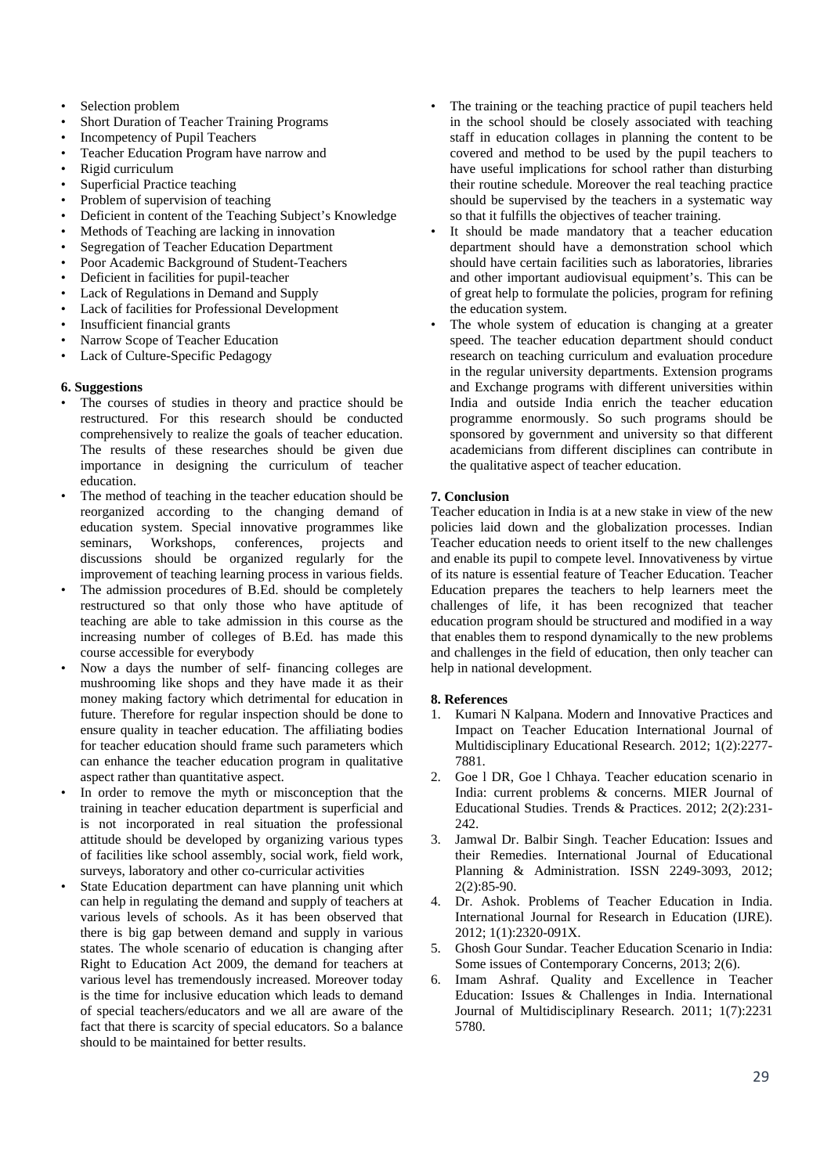- Selection problem
- Short Duration of Teacher Training Programs
- Incompetency of Pupil Teachers
- Teacher Education Program have narrow and
- Rigid curriculum
- Superficial Practice teaching
- Problem of supervision of teaching
- Deficient in content of the Teaching Subject's Knowledge
- Methods of Teaching are lacking in innovation
- Segregation of Teacher Education Department
- Poor Academic Background of Student-Teachers
- Deficient in facilities for pupil-teacher
- Lack of Regulations in Demand and Supply
- Lack of facilities for Professional Development
- Insufficient financial grants
- Narrow Scope of Teacher Education
- Lack of Culture-Specific Pedagogy

## **6. Suggestions**

- The courses of studies in theory and practice should be restructured. For this research should be conducted comprehensively to realize the goals of teacher education. The results of these researches should be given due importance in designing the curriculum of teacher education.
- The method of teaching in the teacher education should be reorganized according to the changing demand of education system. Special innovative programmes like seminars, Workshops, conferences, projects and discussions should be organized regularly for the improvement of teaching learning process in various fields.
- The admission procedures of B.Ed. should be completely restructured so that only those who have aptitude of teaching are able to take admission in this course as the increasing number of colleges of B.Ed. has made this course accessible for everybody
- Now a days the number of self- financing colleges are mushrooming like shops and they have made it as their money making factory which detrimental for education in future. Therefore for regular inspection should be done to ensure quality in teacher education. The affiliating bodies for teacher education should frame such parameters which can enhance the teacher education program in qualitative aspect rather than quantitative aspect.
- In order to remove the myth or misconception that the training in teacher education department is superficial and is not incorporated in real situation the professional attitude should be developed by organizing various types of facilities like school assembly, social work, field work, surveys, laboratory and other co-curricular activities
- State Education department can have planning unit which can help in regulating the demand and supply of teachers at various levels of schools. As it has been observed that there is big gap between demand and supply in various states. The whole scenario of education is changing after Right to Education Act 2009, the demand for teachers at various level has tremendously increased. Moreover today is the time for inclusive education which leads to demand of special teachers/educators and we all are aware of the fact that there is scarcity of special educators. So a balance should to be maintained for better results.
- The training or the teaching practice of pupil teachers held in the school should be closely associated with teaching staff in education collages in planning the content to be covered and method to be used by the pupil teachers to have useful implications for school rather than disturbing their routine schedule. Moreover the real teaching practice should be supervised by the teachers in a systematic way so that it fulfills the objectives of teacher training.
- It should be made mandatory that a teacher education department should have a demonstration school which should have certain facilities such as laboratories, libraries and other important audiovisual equipment's. This can be of great help to formulate the policies, program for refining the education system.
- The whole system of education is changing at a greater speed. The teacher education department should conduct research on teaching curriculum and evaluation procedure in the regular university departments. Extension programs and Exchange programs with different universities within India and outside India enrich the teacher education programme enormously. So such programs should be sponsored by government and university so that different academicians from different disciplines can contribute in the qualitative aspect of teacher education.

# **7. Conclusion**

Teacher education in India is at a new stake in view of the new policies laid down and the globalization processes. Indian Teacher education needs to orient itself to the new challenges and enable its pupil to compete level. Innovativeness by virtue of its nature is essential feature of Teacher Education. Teacher Education prepares the teachers to help learners meet the challenges of life, it has been recognized that teacher education program should be structured and modified in a way that enables them to respond dynamically to the new problems and challenges in the field of education, then only teacher can help in national development.

# **8. References**

- 1. Kumari N Kalpana. Modern and Innovative Practices and Impact on Teacher Education International Journal of Multidisciplinary Educational Research. 2012; 1(2):2277- 7881.
- 2. Goe l DR, Goe l Chhaya. Teacher education scenario in India: current problems & concerns. MIER Journal of Educational Studies. Trends & Practices. 2012; 2(2):231- 242.
- 3. Jamwal Dr. Balbir Singh. Teacher Education: Issues and their Remedies. International Journal of Educational Planning & Administration. ISSN 2249-3093, 2012; 2(2):85-90.
- 4. Dr. Ashok. Problems of Teacher Education in India. International Journal for Research in Education (IJRE). 2012; 1(1):2320-091X.
- 5. Ghosh Gour Sundar. Teacher Education Scenario in India: Some issues of Contemporary Concerns, 2013; 2(6).
- 6. Imam Ashraf. Quality and Excellence in Teacher Education: Issues & Challenges in India. International Journal of Multidisciplinary Research. 2011; 1(7):2231 5780.